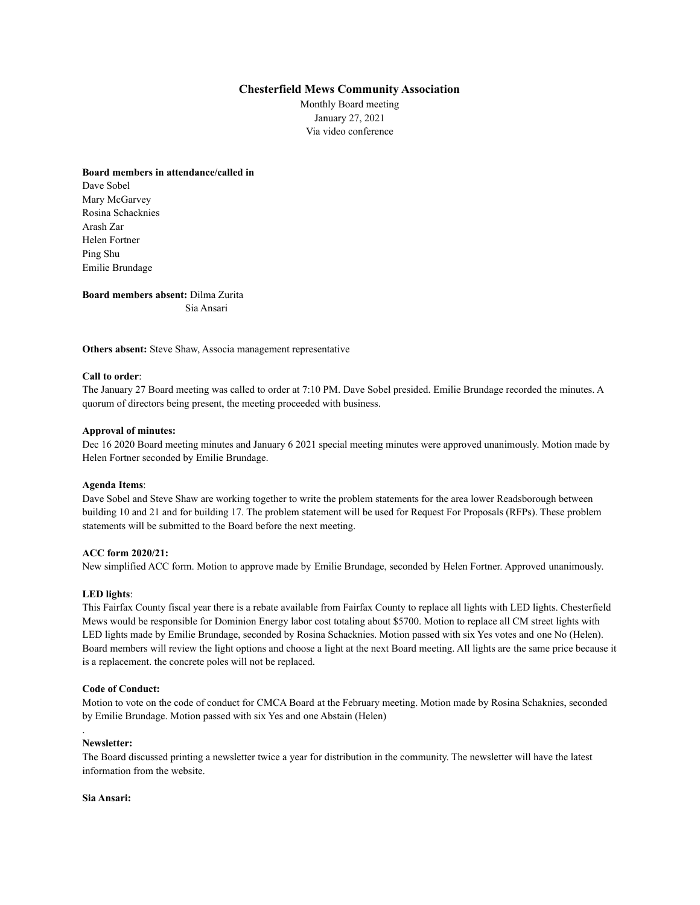### **Chesterfield Mews Community Association**

Monthly Board meeting January 27, 2021 Via video conference

#### **Board members in attendance/called in**

Dave Sobel Mary McGarvey Rosina Schacknies Arash Zar Helen Fortner Ping Shu Emilie Brundage

**Board members absent:** Dilma Zurita Sia Ansari

**Others absent:** Steve Shaw, Associa management representative

# **Call to order**:

The January 27 Board meeting was called to order at 7:10 PM. Dave Sobel presided. Emilie Brundage recorded the minutes. A quorum of directors being present, the meeting proceeded with business.

### **Approval of minutes:**

Dec 16 2020 Board meeting minutes and January 6 2021 special meeting minutes were approved unanimously. Motion made by Helen Fortner seconded by Emilie Brundage.

### **Agenda Items**:

Dave Sobel and Steve Shaw are working together to write the problem statements for the area lower Readsborough between building 10 and 21 and for building 17. The problem statement will be used for Request For Proposals (RFPs). These problem statements will be submitted to the Board before the next meeting.

### **ACC form 2020/21:**

New simplified ACC form. Motion to approve made by Emilie Brundage, seconded by Helen Fortner. Approved unanimously.

### **LED lights**:

This Fairfax County fiscal year there is a rebate available from Fairfax County to replace all lights with LED lights. Chesterfield Mews would be responsible for Dominion Energy labor cost totaling about \$5700. Motion to replace all CM street lights with LED lights made by Emilie Brundage, seconded by Rosina Schacknies. Motion passed with six Yes votes and one No (Helen). Board members will review the light options and choose a light at the next Board meeting. All lights are the same price because it is a replacement. the concrete poles will not be replaced.

### **Code of Conduct:**

Motion to vote on the code of conduct for CMCA Board at the February meeting. Motion made by Rosina Schaknies, seconded by Emilie Brundage. Motion passed with six Yes and one Abstain (Helen)

### **Newsletter:**

.

The Board discussed printing a newsletter twice a year for distribution in the community. The newsletter will have the latest information from the website.

# **Sia Ansari:**